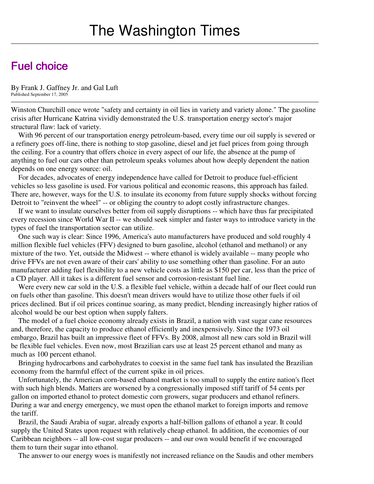## **Fuel choice**

By Frank J. Gaffney Jr. and Gal Luft Published September 17, 2005

Winston Churchill once wrote "safety and certainty in oil lies in variety and variety alone." The gasoline crisis after Hurricane Katrina vividly demonstrated the U.S. transportation energy sector's major structural flaw: lack of variety.

With 96 percent of our transportation energy petroleum-based, every time our oil supply is severed or a refinery goes off-line, there is nothing to stop gasoline, diesel and jet fuel prices from going through the ceiling. For a country that offers choice in every aspect of our life, the absence at the pump of anything to fuel our cars other than petroleum speaks volumes about how deeply dependent the nation depends on one energy source: oil.

For decades, advocates of energy independence have called for Detroit to produce fuel-efficient vehicles so less gasoline is used. For various political and economic reasons, this approach has failed. There are, however, ways for the U.S. to insulate its economy from future supply shocks without forcing Detroit to "reinvent the wheel" -- or obliging the country to adopt costly infrastructure changes.

If we want to insulate ourselves better from oil supply disruptions -- which have thus far precipitated every recession since World War II -- we should seek simpler and faster ways to introduce variety in the types of fuel the transportation sector can utilize.

One such way is clear: Since 1996, America's auto manufacturers have produced and sold roughly 4 million flexible fuel vehicles (FFV) designed to burn gasoline, alcohol (ethanol and methanol) or any mixture of the two. Yet, outside the Midwest -- where ethanol is widely available -- many people who drive FFVs are not even aware of their cars' ability to use something other than gasoline. For an auto manufacturer adding fuel flexibility to a new vehicle costs as little as \$150 per car, less than the price of a CD player. All it takes is a different fuel sensor and corrosion-resistant fuel line.

Were every new car sold in the U.S. a flexible fuel vehicle, within a decade half of our fleet could run on fuels other than gasoline. This doesn't mean drivers would have to utilize those other fuels if oil prices declined. But if oil prices continue soaring, as many predict, blending increasingly higher ratios of alcohol would be our best option when supply falters.

The model of a fuel choice economy already exists in Brazil, a nation with vast sugar cane resources and, therefore, the capacity to produce ethanol efficiently and inexpensively. Since the 1973 oil embargo, Brazil has built an impressive fleet of FFVs. By 2008, almost all new cars sold in Brazil will be flexible fuel vehicles. Even now, most Brazilian cars use at least 25 percent ethanol and many as much as 100 percent ethanol.

Bringing hydrocarbons and carbohydrates to coexist in the same fuel tank has insulated the Brazilian economy from the harmful effect of the current spike in oil prices.

Unfortunately, the American corn-based ethanol market is too small to supply the entire nation's fleet with such high blends. Matters are worsened by a congressionally imposed stiff tariff of 54 cents per gallon on imported ethanol to protect domestic corn growers, sugar producers and ethanol refiners. During a war and energy emergency, we must open the ethanol market to foreign imports and remove the tariff.

Brazil, the Saudi Arabia of sugar, already exports a half-billion gallons of ethanol a year. It could supply the United States upon request with relatively cheap ethanol. In addition, the economies of our Caribbean neighbors -- all low-cost sugar producers -- and our own would benefit if we encouraged them to turn their sugar into ethanol.

The answer to our energy woes is manifestly not increased reliance on the Saudis and other members